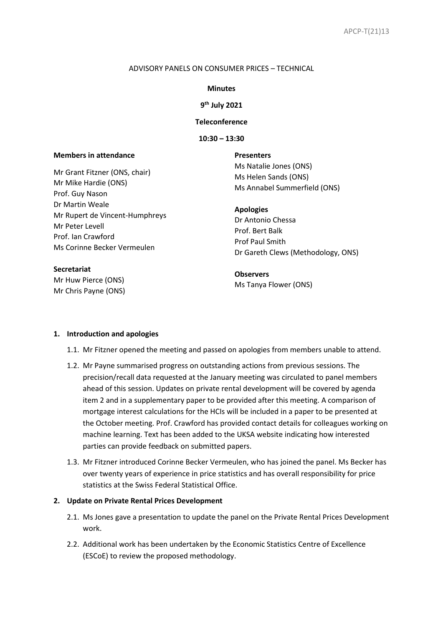#### ADVISORY PANELS ON CONSUMER PRICES – TECHNICAL

#### **Minutes**

### **9 th July 2021**

### **Teleconference**

**10:30 – 13:30**

#### **Members in attendance**

Mr Grant Fitzner (ONS, chair) Mr Mike Hardie (ONS) Prof. Guy Nason Dr Martin Weale Mr Rupert de Vincent-Humphreys Mr Peter Levell Prof. Ian Crawford Ms Corinne Becker Vermeulen

# **Secretariat**

Mr Huw Pierce (ONS) Mr Chris Payne (ONS) **Presenters** Ms Natalie Jones (ONS) Ms Helen Sands (ONS) Ms Annabel Summerfield (ONS)

#### **Apologies**

Dr Antonio Chessa Prof. Bert Balk Prof Paul Smith Dr Gareth Clews (Methodology, ONS)

**Observers** Ms Tanya Flower (ONS)

#### **1. Introduction and apologies**

- 1.1. Mr Fitzner opened the meeting and passed on apologies from members unable to attend.
- 1.2. Mr Payne summarised progress on outstanding actions from previous sessions. The precision/recall data requested at the January meeting was circulated to panel members ahead of this session. Updates on private rental development will be covered by agenda item 2 and in a supplementary paper to be provided after this meeting. A comparison of mortgage interest calculations for the HCIs will be included in a paper to be presented at the October meeting. Prof. Crawford has provided contact details for colleagues working on machine learning. Text has been added to the UKSA website indicating how interested parties can provide feedback on submitted papers.
- 1.3. Mr Fitzner introduced Corinne Becker Vermeulen, who has joined the panel. Ms Becker has over twenty years of experience in price statistics and has overall responsibility for price statistics at the Swiss Federal Statistical Office.

## **2. Update on Private Rental Prices Development**

- 2.1. Ms Jones gave a presentation to update the panel on the Private Rental Prices Development work.
- 2.2. Additional work has been undertaken by the Economic Statistics Centre of Excellence (ESCoE) to review the proposed methodology.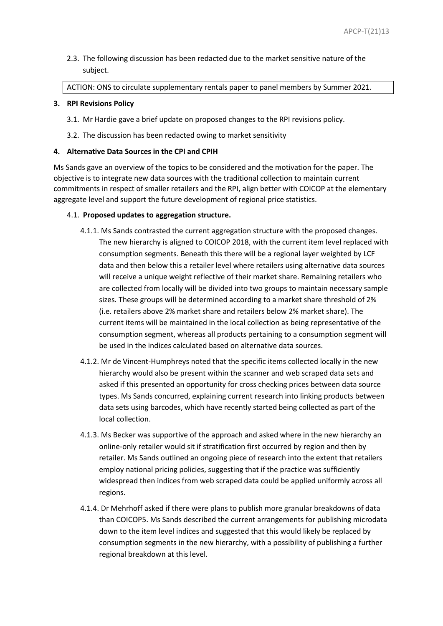2.3. The following discussion has been redacted due to the market sensitive nature of the subject.

ACTION: ONS to circulate supplementary rentals paper to panel members by Summer 2021.

### **3. RPI Revisions Policy**

- 3.1. Mr Hardie gave a brief update on proposed changes to the RPI revisions policy.
- 3.2. The discussion has been redacted owing to market sensitivity

### **4. Alternative Data Sources in the CPI and CPIH**

Ms Sands gave an overview of the topics to be considered and the motivation for the paper. The objective is to integrate new data sources with the traditional collection to maintain current commitments in respect of smaller retailers and the RPI, align better with COICOP at the elementary aggregate level and support the future development of regional price statistics.

### 4.1. **Proposed updates to aggregation structure.**

- 4.1.1. Ms Sands contrasted the current aggregation structure with the proposed changes. The new hierarchy is aligned to COICOP 2018, with the current item level replaced with consumption segments. Beneath this there will be a regional layer weighted by LCF data and then below this a retailer level where retailers using alternative data sources will receive a unique weight reflective of their market share. Remaining retailers who are collected from locally will be divided into two groups to maintain necessary sample sizes. These groups will be determined according to a market share threshold of 2% (i.e. retailers above 2% market share and retailers below 2% market share). The current items will be maintained in the local collection as being representative of the consumption segment, whereas all products pertaining to a consumption segment will be used in the indices calculated based on alternative data sources.
- 4.1.2. Mr de Vincent-Humphreys noted that the specific items collected locally in the new hierarchy would also be present within the scanner and web scraped data sets and asked if this presented an opportunity for cross checking prices between data source types. Ms Sands concurred, explaining current research into linking products between data sets using barcodes, which have recently started being collected as part of the local collection.
- 4.1.3. Ms Becker was supportive of the approach and asked where in the new hierarchy an online-only retailer would sit if stratification first occurred by region and then by retailer. Ms Sands outlined an ongoing piece of research into the extent that retailers employ national pricing policies, suggesting that if the practice was sufficiently widespread then indices from web scraped data could be applied uniformly across all regions.
- 4.1.4. Dr Mehrhoff asked if there were plans to publish more granular breakdowns of data than COICOP5. Ms Sands described the current arrangements for publishing microdata down to the item level indices and suggested that this would likely be replaced by consumption segments in the new hierarchy, with a possibility of publishing a further regional breakdown at this level.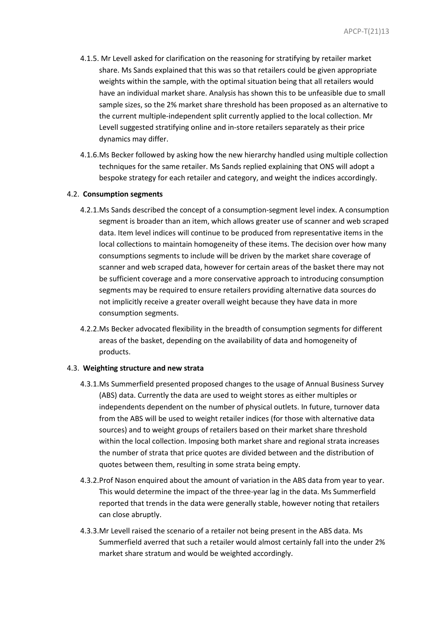- 4.1.5. Mr Levell asked for clarification on the reasoning for stratifying by retailer market share. Ms Sands explained that this was so that retailers could be given appropriate weights within the sample, with the optimal situation being that all retailers would have an individual market share. Analysis has shown this to be unfeasible due to small sample sizes, so the 2% market share threshold has been proposed as an alternative to the current multiple-independent split currently applied to the local collection. Mr Levell suggested stratifying online and in-store retailers separately as their price dynamics may differ.
- 4.1.6.Ms Becker followed by asking how the new hierarchy handled using multiple collection techniques for the same retailer. Ms Sands replied explaining that ONS will adopt a bespoke strategy for each retailer and category, and weight the indices accordingly.

### 4.2. **Consumption segments**

- 4.2.1.Ms Sands described the concept of a consumption-segment level index. A consumption segment is broader than an item, which allows greater use of scanner and web scraped data. Item level indices will continue to be produced from representative items in the local collections to maintain homogeneity of these items. The decision over how many consumptions segments to include will be driven by the market share coverage of scanner and web scraped data, however for certain areas of the basket there may not be sufficient coverage and a more conservative approach to introducing consumption segments may be required to ensure retailers providing alternative data sources do not implicitly receive a greater overall weight because they have data in more consumption segments.
- 4.2.2.Ms Becker advocated flexibility in the breadth of consumption segments for different areas of the basket, depending on the availability of data and homogeneity of products.

#### 4.3. **Weighting structure and new strata**

- 4.3.1.Ms Summerfield presented proposed changes to the usage of Annual Business Survey (ABS) data. Currently the data are used to weight stores as either multiples or independents dependent on the number of physical outlets. In future, turnover data from the ABS will be used to weight retailer indices (for those with alternative data sources) and to weight groups of retailers based on their market share threshold within the local collection. Imposing both market share and regional strata increases the number of strata that price quotes are divided between and the distribution of quotes between them, resulting in some strata being empty.
- 4.3.2.Prof Nason enquired about the amount of variation in the ABS data from year to year. This would determine the impact of the three-year lag in the data. Ms Summerfield reported that trends in the data were generally stable, however noting that retailers can close abruptly.
- 4.3.3.Mr Levell raised the scenario of a retailer not being present in the ABS data. Ms Summerfield averred that such a retailer would almost certainly fall into the under 2% market share stratum and would be weighted accordingly.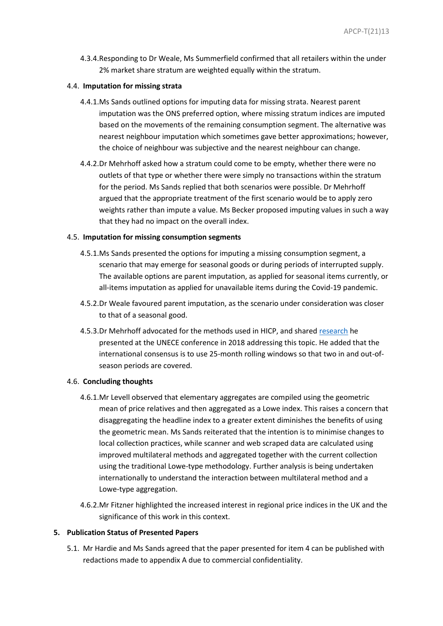4.3.4.Responding to Dr Weale, Ms Summerfield confirmed that all retailers within the under 2% market share stratum are weighted equally within the stratum.

### 4.4. **Imputation for missing strata**

- 4.4.1.Ms Sands outlined options for imputing data for missing strata. Nearest parent imputation was the ONS preferred option, where missing stratum indices are imputed based on the movements of the remaining consumption segment. The alternative was nearest neighbour imputation which sometimes gave better approximations; however, the choice of neighbour was subjective and the nearest neighbour can change.
- 4.4.2.Dr Mehrhoff asked how a stratum could come to be empty, whether there were no outlets of that type or whether there were simply no transactions within the stratum for the period. Ms Sands replied that both scenarios were possible. Dr Mehrhoff argued that the appropriate treatment of the first scenario would be to apply zero weights rather than impute a value. Ms Becker proposed imputing values in such a way that they had no impact on the overall index.

### 4.5. **Imputation for missing consumption segments**

- 4.5.1.Ms Sands presented the options for imputing a missing consumption segment, a scenario that may emerge for seasonal goods or during periods of interrupted supply. The available options are parent imputation, as applied for seasonal items currently, or all-items imputation as applied for unavailable items during the Covid-19 pandemic.
- 4.5.2.Dr Weale favoured parent imputation, as the scenario under consideration was closer to that of a seasonal good.
- 4.5.3.Dr Mehrhoff advocated for the methods used in HICP, and shared [research](https://unece.org/fileadmin/DAM/stats/documents/ece/ces/ge.22/2018/Eurostat_ppt.pdf) he presented at the UNECE conference in 2018 addressing this topic. He added that the international consensus is to use 25-month rolling windows so that two in and out-ofseason periods are covered.

#### 4.6. **Concluding thoughts**

- 4.6.1.Mr Levell observed that elementary aggregates are compiled using the geometric mean of price relatives and then aggregated as a Lowe index. This raises a concern that disaggregating the headline index to a greater extent diminishes the benefits of using the geometric mean. Ms Sands reiterated that the intention is to minimise changes to local collection practices, while scanner and web scraped data are calculated using improved multilateral methods and aggregated together with the current collection using the traditional Lowe-type methodology. Further analysis is being undertaken internationally to understand the interaction between multilateral method and a Lowe-type aggregation.
- 4.6.2.Mr Fitzner highlighted the increased interest in regional price indices in the UK and the significance of this work in this context.

### **5. Publication Status of Presented Papers**

5.1. Mr Hardie and Ms Sands agreed that the paper presented for item 4 can be published with redactions made to appendix A due to commercial confidentiality.